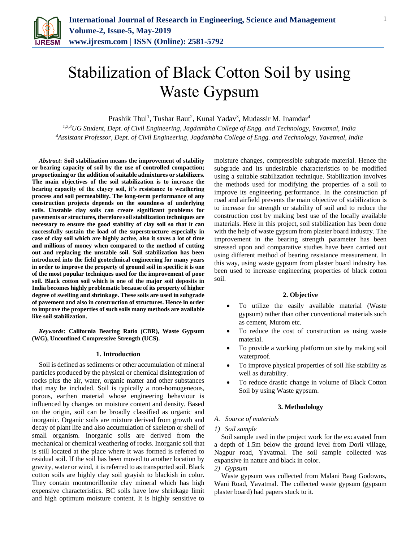

# Stabilization of Black Cotton Soil by using Waste Gypsum

Prashik Thul<sup>1</sup>, Tushar Raut<sup>2</sup>, Kunal Yadav<sup>3</sup>, Mudassir M. Inamdar<sup>4</sup>

*1,2,3UG Student, Dept. of Civil Engineering, Jagdambha College of Engg. and Technology, Yavatmal, India <sup>4</sup>Assistant Professor, Dept. of Civil Engineering, Jagdambha College of Engg. and Technology, Yavatmal, India*

*Abstract***: Soil stabilization means the improvement of stability or bearing capacity of soil by the use of controlled compaction; proportioning or the addition of suitable admixtures or stabilizers. The main objectives of the soil stabilization is to increase the bearing capacity of the clayey soil, it's resistance to weathering process and soil permeability. The long-term performance of any construction projects depends on the soundness of underlying soils. Unstable clay soils can create significant problems for pavements or structures, therefore soil stabilization techniques are necessary to ensure the good stability of clay soil so that it can successfully sustain the load of the superstructure especially in case of clay soil which are highly active, also it saves a lot of time and millions of money when compared to the method of cutting out and replacing the unstable soil. Soil stabilization has been introduced into the field geotechnical engineering for many years in order to improve the property of ground soil in specific it is one of the most popular techniques used for the improvement of poor soil. Black cotton soil which is one of the major soil deposits in India becomes highly problematic because of its property of higher degree of swelling and shrinkage. These soils are used in subgrade of pavement and also in construction of structures. Hence in order to improve the properties of such soils many methods are available like soil stabilization.** 

*Keywords***: California Bearing Ratio (CBR), Waste Gypsum (WG), Unconfined Compressive Strength (UCS).**

#### **1. Introduction**

Soil is defined as sediments or other accumulation of mineral particles produced by the physical or chemical disintegration of rocks plus the air, water, organic matter and other substances that may be included. Soil is typically a non-homogeneous, porous, earthen material whose engineering behaviour is influenced by changes on moisture content and density. Based on the origin, soil can be broadly classified as organic and inorganic. Organic soils are mixture derived from growth and decay of plant life and also accumulation of skeleton or shell of small organism. Inorganic soils are derived from the mechanical or chemical weathering of rocks. Inorganic soil that is still located at the place where it was formed is referred to residual soil. If the soil has been moved to another location by gravity, water or wind, it is referred to as transported soil. Black cotton soils are highly clay soil grayish to blackish in color. They contain montmorillonite clay mineral which has high expensive characteristics. BC soils have low shrinkage limit and high optimum moisture content. It is highly sensitive to moisture changes, compressible subgrade material. Hence the subgrade and its undesirable characteristics to be modified using a suitable stabilization technique. Stabilization involves the methods used for modifying the properties of a soil to improve its engineering performance. In the construction pf road and airfield prevents the main objective of stabilization is to increase the strength or stability of soil and to reduce the construction cost by making best use of the locally available materials. Here in this project, soil stabilization has been done with the help of waste gypsum from plaster board industry. The improvement in the bearing strength parameter has been stressed upon and comparative studies have been carried out using different method of bearing resistance measurement. In this way, using waste gypsum from plaster board industry has been used to increase engineering properties of black cotton soil.

## **2. Objective**

- To utilize the easily available material (Waste gypsum) rather than other conventional materials such as cement, Murom etc.
- To reduce the cost of construction as using waste material.
- To provide a working platform on site by making soil waterproof.
- To improve physical properties of soil like stability as well as durability.
- To reduce drastic change in volume of Black Cotton Soil by using Waste gypsum.

## **3. Methodology**

## *A. Source of materials*

## *1) Soil sample*

Soil sample used in the project work for the excavated from a depth of 1.5m below the ground level from Dorli village, Nagpur road, Yavatmal. The soil sample collected was expansive in nature and black in color.

# *2) Gypsum*

Waste gypsum was collected from Malani Baag Godowns, Wani Road, Yavatmal. The collected waste gypsum (gypsum plaster board) had papers stuck to it.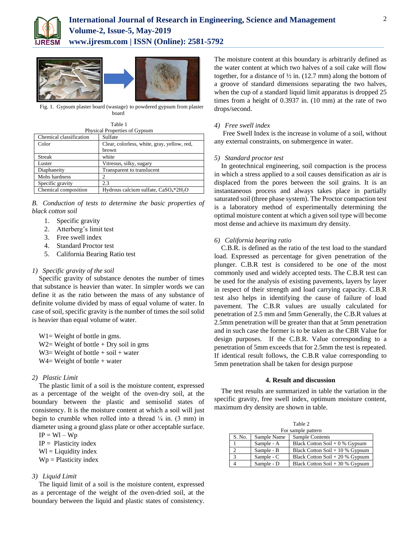

**www.ijresm.com | ISSN (Online): 2581-5792** 



Fig. 1. Gypsum plaster board (wastage) to powdered gypsum from plaster board

Table 1

| Physical Properties of Gypsum |                                             |  |  |  |
|-------------------------------|---------------------------------------------|--|--|--|
| Chemical classification       | Sulfate                                     |  |  |  |
| Color                         | Clear, colorless, white, gray, yellow, red, |  |  |  |
|                               | brown                                       |  |  |  |
| <b>Streak</b>                 | white                                       |  |  |  |
| Luster                        | Vitreous, silky, sugary                     |  |  |  |
| Diaphaneity                   | Transparent to translucent                  |  |  |  |
| Mohs hardness                 |                                             |  |  |  |
| Specific gravity              | 2.3                                         |  |  |  |
| Chemical composition          | Hydrous calcium sulfate, $CaSO4*2H2O$       |  |  |  |

*B. Conduction of tests to determine the basic properties of black cotton soil*

- 1. Specific gravity
- 2. Atterberg's limit test
- 3. Free swell index
- 4. Standard Proctor test
- 5. California Bearing Ratio test

## *1) Specific gravity of the soil*

Specific gravity of substance denotes the number of times that substance is heavier than water. In simpler words we can define it as the ratio between the mass of any substance of definite volume divided by mass of equal volume of water. In case of soil, specific gravity is the number of times the soil solid is heavier than equal volume of water.

 $W1 = Weight of bottle in gms.$  $W2=$  Weight of bottle + Dry soil in gms  $W3=$  Weight of bottle + soil + water  $W4=$  Weight of bottle + water

## *2) Plastic Limit*

The plastic limit of a soil is the moisture content, expressed as a percentage of the weight of the oven-dry soil, at the boundary between the plastic and semisolid states of consistency. It is the moisture content at which a soil will just begin to crumble when rolled into a thread  $\frac{1}{8}$  in. (3 mm) in diameter using a ground glass plate or other acceptable surface.

 $IP = WI - Wp$ 

- $IP =$  Plasticity index
- $Wl =$  Liquidity index
- $Wp =$  Plasticity index

## *3) Liquid Limit*

The liquid limit of a soil is the moisture content, expressed as a percentage of the weight of the oven-dried soil, at the boundary between the liquid and plastic states of consistency. The moisture content at this boundary is arbitrarily defined as the water content at which two halves of a soil cake will flow together, for a distance of  $\frac{1}{2}$  in. (12.7 mm) along the bottom of a groove of standard dimensions separating the two halves, when the cup of a standard liquid limit apparatus is dropped 25 times from a height of 0.3937 in. (10 mm) at the rate of two drops/second.

## *4) Free swell index*

Free Swell Index is the increase in volume of a soil, without any external constraints, on submergence in water.

#### *5) Standard proctor test*

In geotechnical engineering, soil compaction is the process in which a stress applied to a soil causes densification as air is displaced from the pores between the soil grains. It is an instantaneous process and always takes place in partially saturated soil (three phase system). The Proctor compaction test is a laboratory method of experimentally determining the optimal moisture content at which a given soil type will become most dense and achieve its maximum dry density.

#### *6) California bearing ratio*

C.B.R. is defined as the ratio of the test load to the standard load. Expressed as percentage for given penetration of the plunger. C.B.R test is considered to be one of the most commonly used and widely accepted tests. The C.B.R test can be used for the analysis of existing pavements, layers by layer in respect of their strength and load carrying capacity. C.B.R test also helps in identifying the cause of failure of load pavement. The C.B.R values are usually calculated for penetration of 2.5 mm and 5mm Generally, the C.B.R values at 2.5mm penetration will be greater than that at 5mm penetration and in such case the former is to be taken as the CBR Value for design purposes. If the C.B.R. Value corresponding to a penetration of 5mm exceeds that for 2.5mm the test is repeated. If identical result follows, the C.B.R value corresponding to 5mm penetration shall be taken for design purpose

# **4. Result and discussion**

The test results are summarized in table the variation in the specific gravity, free swell index, optimum moisture content, maximum dry density are shown in table.

| Table 2            |             |                                  |  |  |  |  |  |
|--------------------|-------------|----------------------------------|--|--|--|--|--|
| For sample pattern |             |                                  |  |  |  |  |  |
| S. No.             | Sample Name | Sample Contents                  |  |  |  |  |  |
|                    | Sample - A  | Black Cotton Soil $+0$ % Gypsum  |  |  |  |  |  |
| $\overline{c}$     | Sample - B  | Black Cotton Soil $+10\%$ Gypsum |  |  |  |  |  |
| 3                  | Sample - C  | Black Cotton Soil $+20%$ Gypsum  |  |  |  |  |  |
|                    | Sample - D  | Black Cotton Soil $+30%$ Gypsum  |  |  |  |  |  |